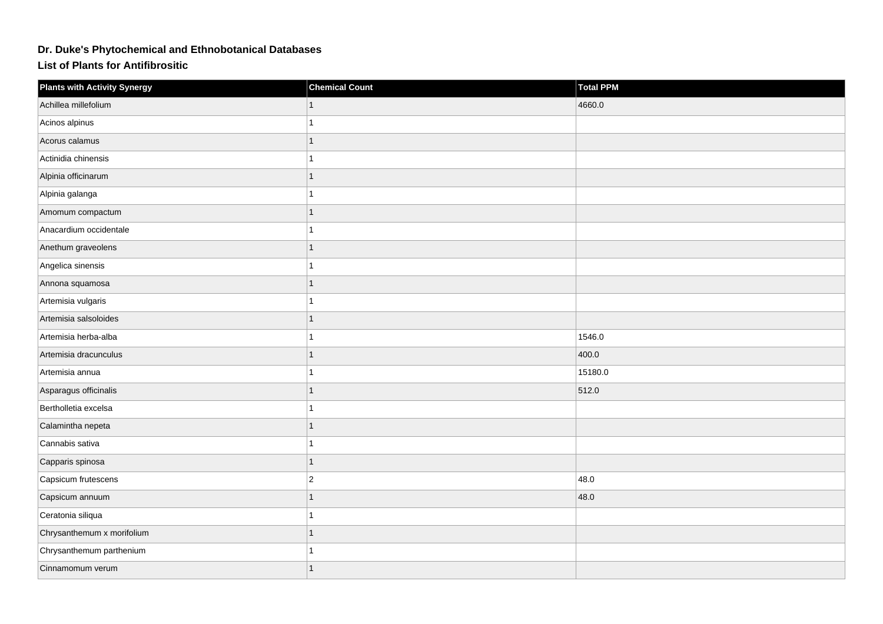## **Dr. Duke's Phytochemical and Ethnobotanical Databases**

**List of Plants for Antifibrositic**

| <b>Plants with Activity Synergy</b> | <b>Chemical Count</b> | <b>Total PPM</b> |
|-------------------------------------|-----------------------|------------------|
| Achillea millefolium                |                       | 4660.0           |
| Acinos alpinus                      |                       |                  |
| Acorus calamus                      | 1                     |                  |
| Actinidia chinensis                 |                       |                  |
| Alpinia officinarum                 | 1                     |                  |
| Alpinia galanga                     |                       |                  |
| Amomum compactum                    |                       |                  |
| Anacardium occidentale              |                       |                  |
| Anethum graveolens                  | 1                     |                  |
| Angelica sinensis                   |                       |                  |
| Annona squamosa                     | 1                     |                  |
| Artemisia vulgaris                  |                       |                  |
| Artemisia salsoloides               |                       |                  |
| Artemisia herba-alba                |                       | 1546.0           |
| Artemisia dracunculus               |                       | 400.0            |
| Artemisia annua                     |                       | 15180.0          |
| Asparagus officinalis               | 1                     | 512.0            |
| Bertholletia excelsa                |                       |                  |
| Calamintha nepeta                   | 1                     |                  |
| Cannabis sativa                     |                       |                  |
| Capparis spinosa                    | 1                     |                  |
| Capsicum frutescens                 | $\overline{2}$        | 48.0             |
| Capsicum annuum                     | 1                     | 48.0             |
| Ceratonia siliqua                   |                       |                  |
| Chrysanthemum x morifolium          | 1                     |                  |
| Chrysanthemum parthenium            |                       |                  |
| Cinnamomum verum                    | 1                     |                  |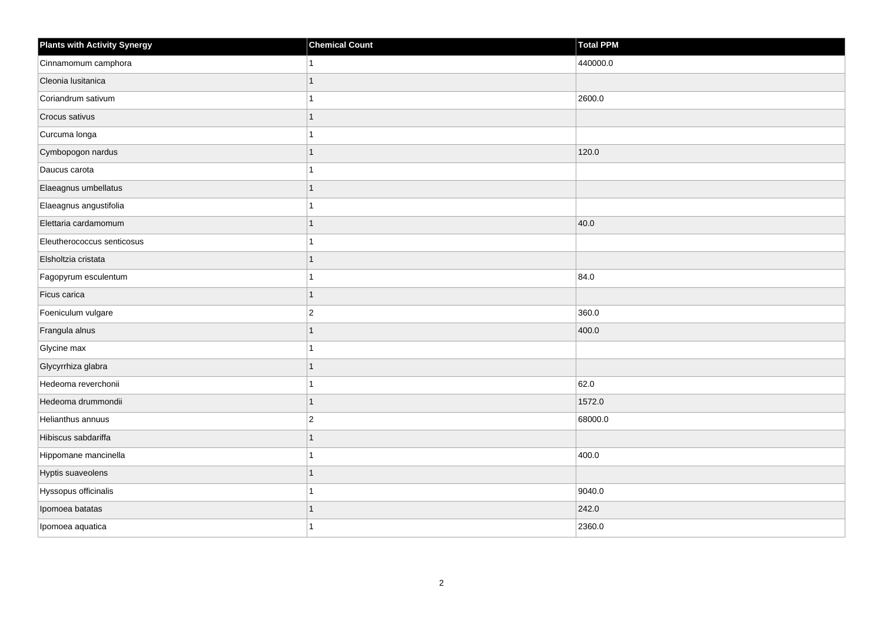| <b>Plants with Activity Synergy</b> | <b>Chemical Count</b> | Total PPM |
|-------------------------------------|-----------------------|-----------|
| Cinnamomum camphora                 |                       | 440000.0  |
| Cleonia lusitanica                  |                       |           |
| Coriandrum sativum                  |                       | 2600.0    |
| Crocus sativus                      |                       |           |
| Curcuma longa                       |                       |           |
| Cymbopogon nardus                   |                       | 120.0     |
| Daucus carota                       |                       |           |
| Elaeagnus umbellatus                |                       |           |
| Elaeagnus angustifolia              |                       |           |
| Elettaria cardamomum                |                       | 40.0      |
| Eleutherococcus senticosus          |                       |           |
| Elsholtzia cristata                 |                       |           |
| Fagopyrum esculentum                |                       | 84.0      |
| Ficus carica                        | 1                     |           |
| Foeniculum vulgare                  | $\overline{2}$        | 360.0     |
| Frangula alnus                      | 1                     | 400.0     |
| Glycine max                         |                       |           |
| Glycyrrhiza glabra                  |                       |           |
| Hedeoma reverchonii                 |                       | 62.0      |
| Hedeoma drummondii                  |                       | 1572.0    |
| Helianthus annuus                   | $\overline{2}$        | 68000.0   |
| Hibiscus sabdariffa                 | 1                     |           |
| Hippomane mancinella                |                       | 400.0     |
| Hyptis suaveolens                   |                       |           |
| Hyssopus officinalis                |                       | 9040.0    |
| Ipomoea batatas                     |                       | 242.0     |
| Ipomoea aquatica                    |                       | 2360.0    |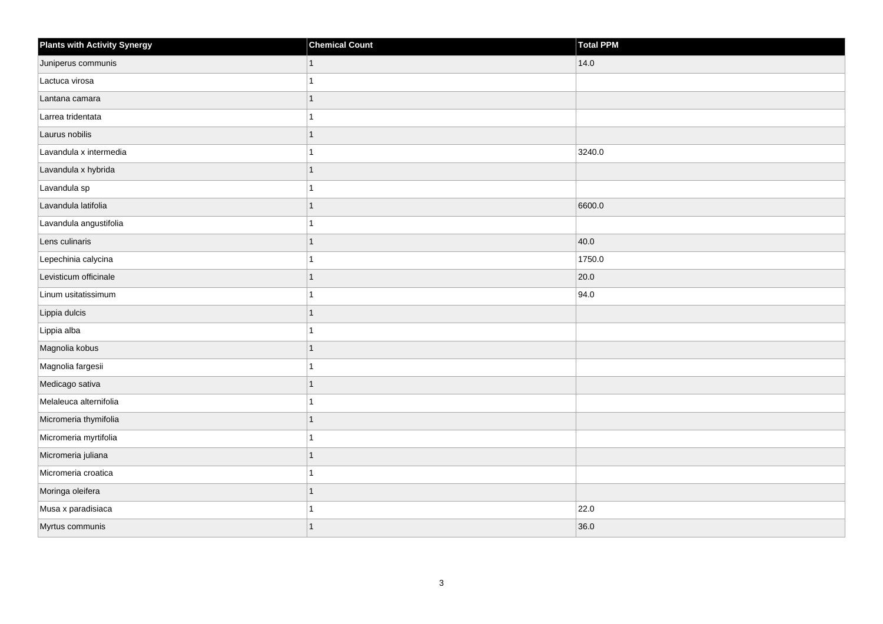| <b>Plants with Activity Synergy</b> | <b>Chemical Count</b> | Total PPM |
|-------------------------------------|-----------------------|-----------|
| Juniperus communis                  | 1                     | 14.0      |
| Lactuca virosa                      |                       |           |
| Lantana camara                      |                       |           |
| Larrea tridentata                   |                       |           |
| Laurus nobilis                      | 1                     |           |
| Lavandula x intermedia              |                       | 3240.0    |
| Lavandula x hybrida                 |                       |           |
| Lavandula sp                        |                       |           |
| Lavandula latifolia                 |                       | 6600.0    |
| Lavandula angustifolia              |                       |           |
| Lens culinaris                      | 1                     | 40.0      |
| Lepechinia calycina                 |                       | 1750.0    |
| Levisticum officinale               | 1                     | 20.0      |
| Linum usitatissimum                 |                       | 94.0      |
| Lippia dulcis                       |                       |           |
| Lippia alba                         | 1                     |           |
| Magnolia kobus                      |                       |           |
| Magnolia fargesii                   |                       |           |
| Medicago sativa                     | 1                     |           |
| Melaleuca alternifolia              |                       |           |
| Micromeria thymifolia               |                       |           |
| Micromeria myrtifolia               | 1                     |           |
| Micromeria juliana                  |                       |           |
| Micromeria croatica                 |                       |           |
| Moringa oleifera                    | 1                     |           |
| Musa x paradisiaca                  |                       | 22.0      |
| Myrtus communis                     |                       | 36.0      |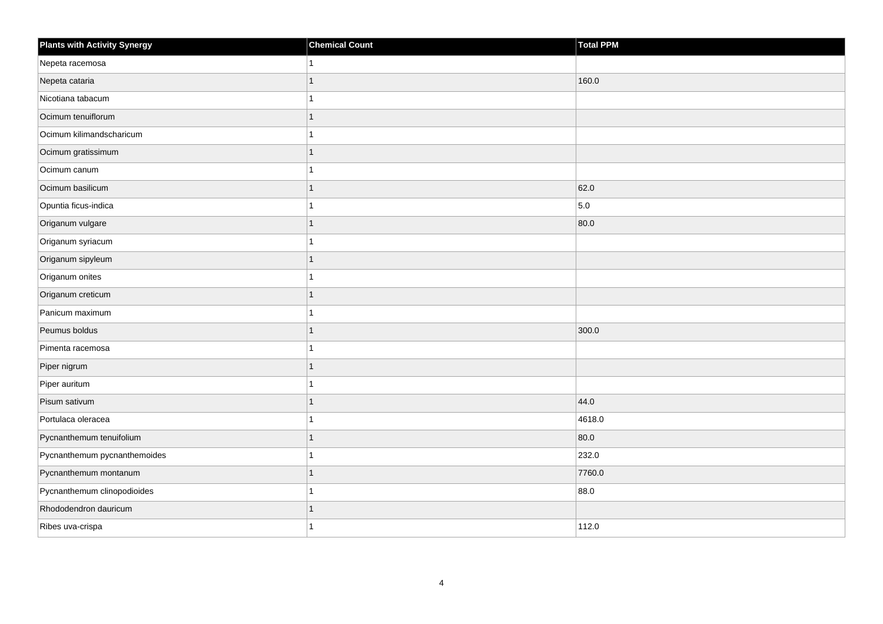| <b>Plants with Activity Synergy</b> | <b>Chemical Count</b> | Total PPM |
|-------------------------------------|-----------------------|-----------|
| Nepeta racemosa                     |                       |           |
| Nepeta cataria                      | 1                     | 160.0     |
| Nicotiana tabacum                   | 1                     |           |
| Ocimum tenuiflorum                  |                       |           |
| Ocimum kilimandscharicum            |                       |           |
| Ocimum gratissimum                  | 1                     |           |
| Ocimum canum                        |                       |           |
| Ocimum basilicum                    | 1                     | 62.0      |
| Opuntia ficus-indica                | 1                     | 5.0       |
| Origanum vulgare                    | 1                     | 80.0      |
| Origanum syriacum                   | 1                     |           |
| Origanum sipyleum                   | 1                     |           |
| Origanum onites                     | 1                     |           |
| Origanum creticum                   | 1                     |           |
| Panicum maximum                     | 1                     |           |
| Peumus boldus                       | 1                     | 300.0     |
| Pimenta racemosa                    |                       |           |
| Piper nigrum                        | 1                     |           |
| Piper auritum                       | 1                     |           |
| Pisum sativum                       | 1                     | 44.0      |
| Portulaca oleracea                  |                       | 4618.0    |
| Pycnanthemum tenuifolium            | 1                     | 80.0      |
| Pycnanthemum pycnanthemoides        |                       | 232.0     |
| Pycnanthemum montanum               |                       | 7760.0    |
| Pycnanthemum clinopodioides         | 1                     | 88.0      |
| Rhododendron dauricum               |                       |           |
| Ribes uva-crispa                    | 1                     | 112.0     |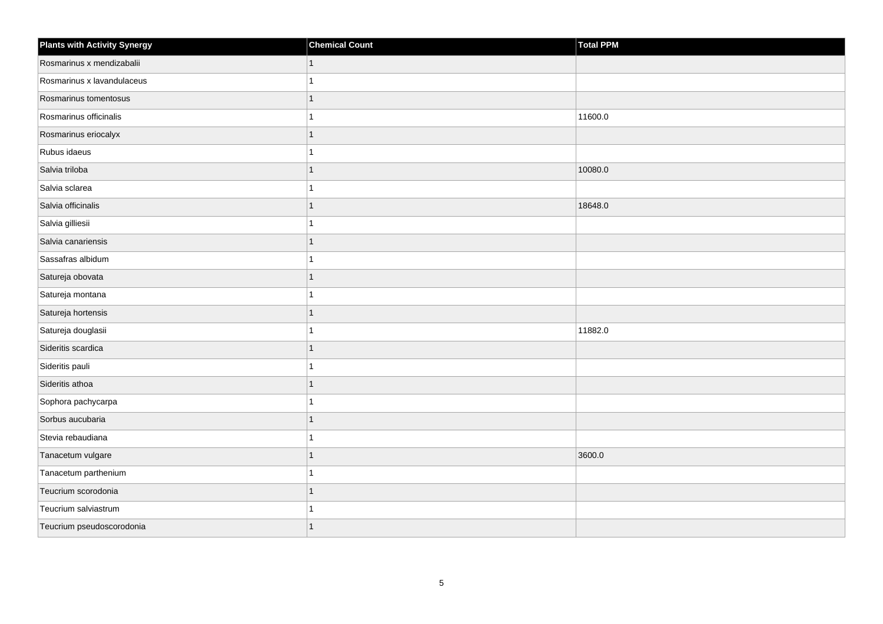| <b>Plants with Activity Synergy</b> | <b>Chemical Count</b> | Total PPM |
|-------------------------------------|-----------------------|-----------|
| Rosmarinus x mendizabalii           |                       |           |
| Rosmarinus x lavandulaceus          |                       |           |
| Rosmarinus tomentosus               |                       |           |
| Rosmarinus officinalis              |                       | 11600.0   |
| Rosmarinus eriocalyx                |                       |           |
| Rubus idaeus                        |                       |           |
| Salvia triloba                      |                       | 10080.0   |
| Salvia sclarea                      |                       |           |
| Salvia officinalis                  |                       | 18648.0   |
| Salvia gilliesii                    |                       |           |
| Salvia canariensis                  | 1                     |           |
| Sassafras albidum                   |                       |           |
| Satureja obovata                    | 1                     |           |
| Satureja montana                    |                       |           |
| Satureja hortensis                  |                       |           |
| Satureja douglasii                  |                       | 11882.0   |
| Sideritis scardica                  |                       |           |
| Sideritis pauli                     |                       |           |
| Sideritis athoa                     | 1                     |           |
| Sophora pachycarpa                  |                       |           |
| Sorbus aucubaria                    |                       |           |
| Stevia rebaudiana                   |                       |           |
| Tanacetum vulgare                   |                       | 3600.0    |
| Tanacetum parthenium                |                       |           |
| Teucrium scorodonia                 | 1                     |           |
| Teucrium salviastrum                |                       |           |
| Teucrium pseudoscorodonia           |                       |           |